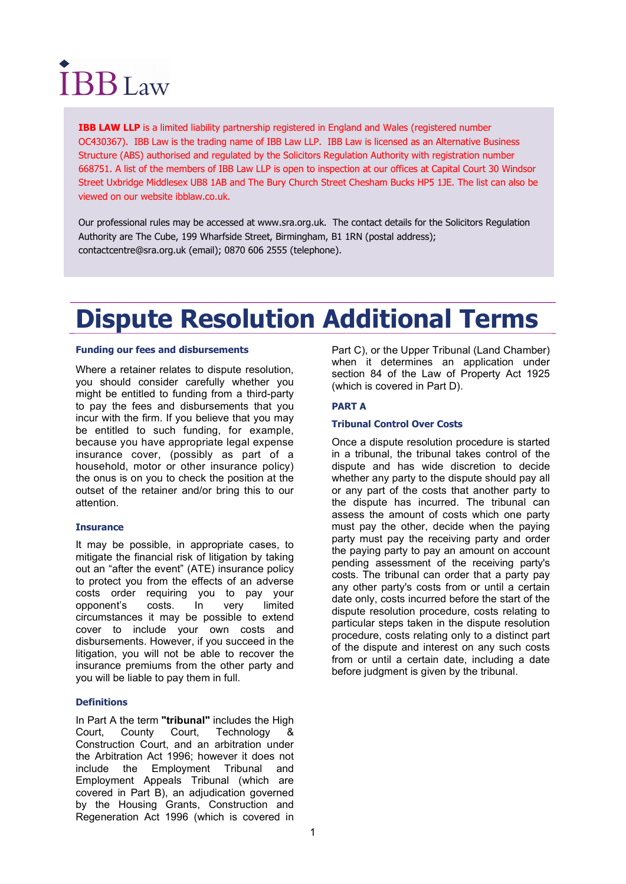# **IBB** Law

**IBB LAW LLP** is a limited liability partnership registered in England and Wales (registered number OC430367). IBB Law is the trading name of IBB Law LLP. IBB Law is licensed as an Alternative Business Structure (ABS) authorised and regulated by the Solicitors Regulation Authority with registration number 668751. A list of the members of IBB Law LLP is open to inspection at our offices at Capital Court 30 Windsor Street Uxbridge Middlesex UB8 1AB and The Bury Church Street Chesham Bucks HP5 1JE. The list can also be viewed on our website ibblaw.co.uk.

Our professional rules may be accessed at www.sra.org.uk. The contact details for the Solicitors Regulation Authority are The Cube, 199 Wharfside Street, Birmingham, B1 1RN (postal address); contactcentre@sra.org.uk (email); 0870 606 2555 (telephone).

# Dispute Resolution Additional Terms

# Funding our fees and disbursements

Where a retainer relates to dispute resolution, you should consider carefully whether you might be entitled to funding from a third-party to pay the fees and disbursements that you incur with the firm. If you believe that you may be entitled to such funding, for example, because you have appropriate legal expense insurance cover, (possibly as part of a household, motor or other insurance policy) the onus is on you to check the position at the outset of the retainer and/or bring this to our attention.

# **Insurance**

It may be possible, in appropriate cases, to mitigate the financial risk of litigation by taking out an "after the event" (ATE) insurance policy to protect you from the effects of an adverse costs order requiring you to pay your opponent's costs. In very limited circumstances it may be possible to extend cover to include your own costs and disbursements. However, if you succeed in the litigation, you will not be able to recover the insurance premiums from the other party and you will be liable to pay them in full.

# **Definitions**

In Part A the term "tribunal" includes the High Court, County Court, Technology & Court, County Court, Technology & Construction Court, and an arbitration under the Arbitration Act 1996; however it does not include the Employment Tribunal and Employment Appeals Tribunal (which are covered in Part B), an adjudication governed by the Housing Grants, Construction and Regeneration Act 1996 (which is covered in Part C), or the Upper Tribunal (Land Chamber) when it determines an application under section 84 of the Law of Property Act 1925 (which is covered in Part D).

# PART A

# Tribunal Control Over Costs

Once a dispute resolution procedure is started in a tribunal, the tribunal takes control of the dispute and has wide discretion to decide whether any party to the dispute should pay all or any part of the costs that another party to the dispute has incurred. The tribunal can assess the amount of costs which one party must pay the other, decide when the paying party must pay the receiving party and order the paying party to pay an amount on account pending assessment of the receiving party's costs. The tribunal can order that a party pay any other party's costs from or until a certain date only, costs incurred before the start of the dispute resolution procedure, costs relating to particular steps taken in the dispute resolution procedure, costs relating only to a distinct part of the dispute and interest on any such costs from or until a certain date, including a date before judgment is given by the tribunal.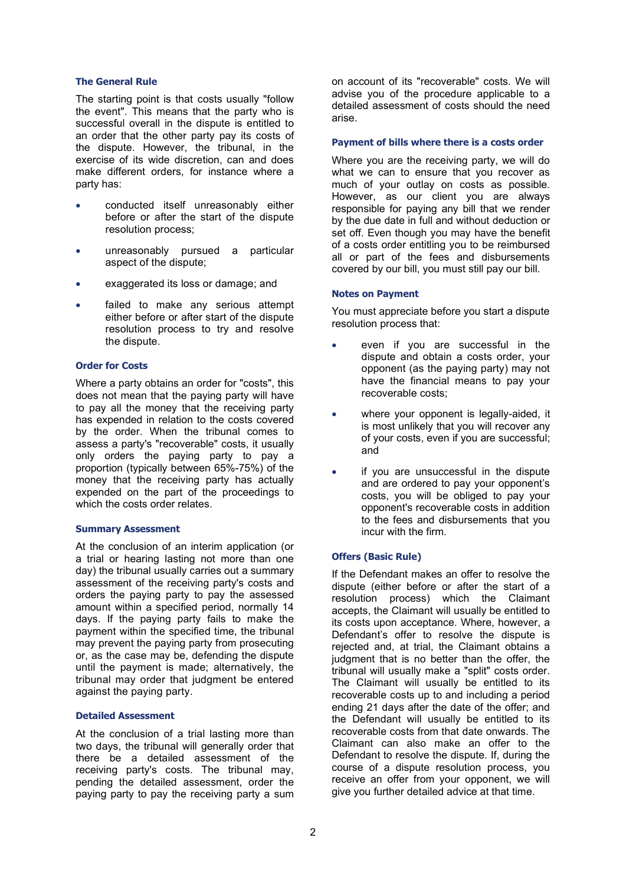# The General Rule

The starting point is that costs usually "follow the event". This means that the party who is successful overall in the dispute is entitled to an order that the other party pay its costs of the dispute. However, the tribunal, in the exercise of its wide discretion, can and does make different orders, for instance where a party has:

- conducted itself unreasonably either before or after the start of the dispute resolution process;
- unreasonably pursued a particular aspect of the dispute;
- exaggerated its loss or damage; and
- failed to make any serious attempt either before or after start of the dispute resolution process to try and resolve the dispute.

# Order for Costs

Where a party obtains an order for "costs", this does not mean that the paying party will have to pay all the money that the receiving party has expended in relation to the costs covered by the order. When the tribunal comes to assess a party's "recoverable" costs, it usually only orders the paying party to pay a proportion (typically between 65%-75%) of the money that the receiving party has actually expended on the part of the proceedings to which the costs order relates.

# Summary Assessment

At the conclusion of an interim application (or a trial or hearing lasting not more than one day) the tribunal usually carries out a summary assessment of the receiving party's costs and orders the paying party to pay the assessed amount within a specified period, normally 14 days. If the paying party fails to make the payment within the specified time, the tribunal may prevent the paying party from prosecuting or, as the case may be, defending the dispute until the payment is made; alternatively, the tribunal may order that judgment be entered against the paying party.

# Detailed Assessment

At the conclusion of a trial lasting more than two days, the tribunal will generally order that there be a detailed assessment of the receiving party's costs. The tribunal may, pending the detailed assessment, order the paying party to pay the receiving party a sum

on account of its "recoverable" costs. We will advise you of the procedure applicable to a detailed assessment of costs should the need arise.

# Payment of bills where there is a costs order

Where you are the receiving party, we will do what we can to ensure that you recover as much of your outlay on costs as possible. However, as our client you are always responsible for paying any bill that we render by the due date in full and without deduction or set off. Even though you may have the benefit of a costs order entitling you to be reimbursed all or part of the fees and disbursements covered by our bill, you must still pay our bill.

# Notes on Payment

You must appreciate before you start a dispute resolution process that:

- even if you are successful in the dispute and obtain a costs order, your opponent (as the paying party) may not have the financial means to pay your recoverable costs;
- where your opponent is legally-aided, it is most unlikely that you will recover any of your costs, even if you are successful; and
- if you are unsuccessful in the dispute and are ordered to pay your opponent's costs, you will be obliged to pay your opponent's recoverable costs in addition to the fees and disbursements that you incur with the firm.

# Offers (Basic Rule)

If the Defendant makes an offer to resolve the dispute (either before or after the start of a resolution process) which the Claimant accepts, the Claimant will usually be entitled to its costs upon acceptance. Where, however, a Defendant's offer to resolve the dispute is rejected and, at trial, the Claimant obtains a judgment that is no better than the offer, the tribunal will usually make a "split" costs order. The Claimant will usually be entitled to its recoverable costs up to and including a period ending 21 days after the date of the offer; and the Defendant will usually be entitled to its recoverable costs from that date onwards. The Claimant can also make an offer to the Defendant to resolve the dispute. If, during the course of a dispute resolution process, you receive an offer from your opponent, we will give you further detailed advice at that time.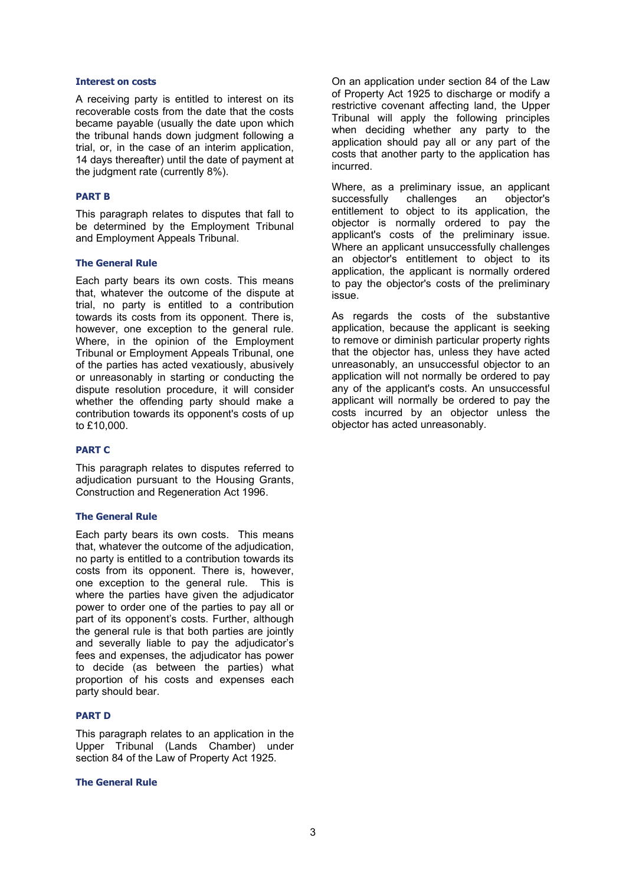# Interest on costs

A receiving party is entitled to interest on its recoverable costs from the date that the costs became payable (usually the date upon which the tribunal hands down judgment following a trial, or, in the case of an interim application, 14 days thereafter) until the date of payment at the judgment rate (currently 8%).

# PART B

This paragraph relates to disputes that fall to be determined by the Employment Tribunal and Employment Appeals Tribunal.

# The General Rule

Each party bears its own costs. This means that, whatever the outcome of the dispute at trial, no party is entitled to a contribution towards its costs from its opponent. There is, however, one exception to the general rule. Where, in the opinion of the Employment Tribunal or Employment Appeals Tribunal, one of the parties has acted vexatiously, abusively or unreasonably in starting or conducting the dispute resolution procedure, it will consider whether the offending party should make a contribution towards its opponent's costs of up to £10,000.

# PART C

This paragraph relates to disputes referred to adjudication pursuant to the Housing Grants. Construction and Regeneration Act 1996.

### The General Rule

Each party bears its own costs. This means that, whatever the outcome of the adjudication, no party is entitled to a contribution towards its costs from its opponent. There is, however, one exception to the general rule. This is where the parties have given the adjudicator power to order one of the parties to pay all or part of its opponent's costs. Further, although the general rule is that both parties are jointly and severally liable to pay the adjudicator's fees and expenses, the adjudicator has power to decide (as between the parties) what proportion of his costs and expenses each party should bear.

### PART D

This paragraph relates to an application in the Upper Tribunal (Lands Chamber) under section 84 of the Law of Property Act 1925.

# The General Rule

On an application under section 84 of the Law of Property Act 1925 to discharge or modify a restrictive covenant affecting land, the Upper Tribunal will apply the following principles when deciding whether any party to the application should pay all or any part of the costs that another party to the application has incurred.

Where, as a preliminary issue, an applicant successfully challenges an objector's entitlement to object to its application, the objector is normally ordered to pay the applicant's costs of the preliminary issue. Where an applicant unsuccessfully challenges an objector's entitlement to object to its application, the applicant is normally ordered to pay the objector's costs of the preliminary issue.

As regards the costs of the substantive application, because the applicant is seeking to remove or diminish particular property rights that the objector has, unless they have acted unreasonably, an unsuccessful objector to an application will not normally be ordered to pay any of the applicant's costs. An unsuccessful applicant will normally be ordered to pay the costs incurred by an objector unless the objector has acted unreasonably.